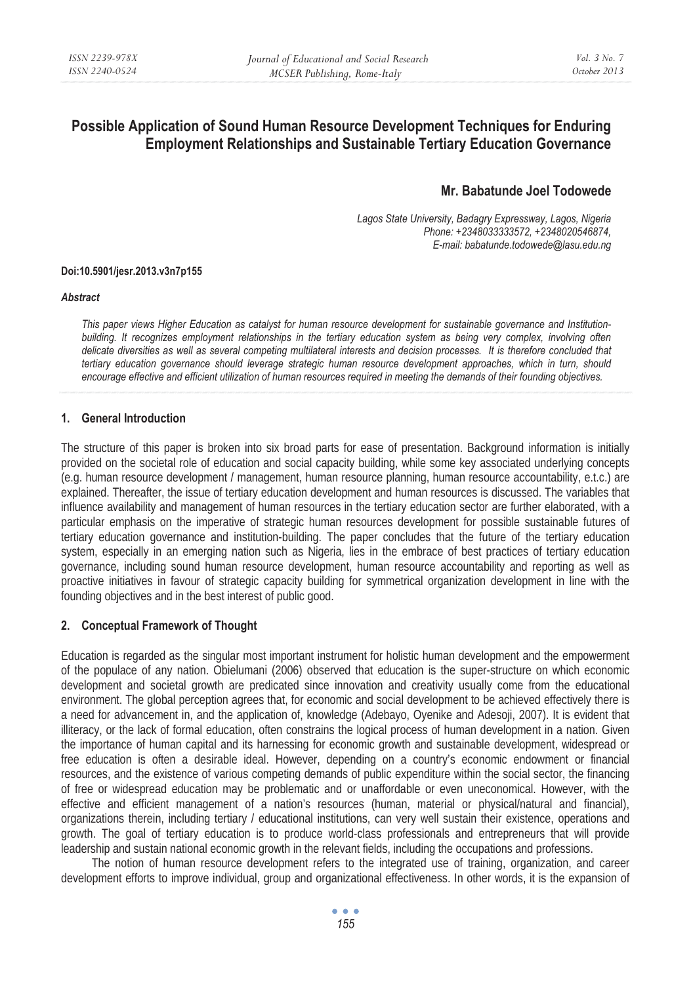# **Possible Application of Sound Human Resource Development Techniques for Enduring Employment Relationships and Sustainable Tertiary Education Governance**

# **Mr. Babatunde Joel Todowede**

*Lagos State University, Badagry Expressway, Lagos, Nigeria Phone: +2348033333572, +2348020546874, E-mail: babatunde.todowede@lasu.edu.ng* 

#### **Doi:10.5901/jesr.2013.v3n7p155**

#### *Abstract*

*This paper views Higher Education as catalyst for human resource development for sustainable governance and Institutionbuilding. It recognizes employment relationships in the tertiary education system as being very complex, involving often delicate diversities as well as several competing multilateral interests and decision processes. It is therefore concluded that tertiary education governance should leverage strategic human resource development approaches, which in turn, should encourage effective and efficient utilization of human resources required in meeting the demands of their founding objectives.* 

### **1. General Introduction**

The structure of this paper is broken into six broad parts for ease of presentation. Background information is initially provided on the societal role of education and social capacity building, while some key associated underlying concepts (e.g. human resource development / management, human resource planning, human resource accountability, e.t.c.) are explained. Thereafter, the issue of tertiary education development and human resources is discussed. The variables that influence availability and management of human resources in the tertiary education sector are further elaborated, with a particular emphasis on the imperative of strategic human resources development for possible sustainable futures of tertiary education governance and institution-building. The paper concludes that the future of the tertiary education system, especially in an emerging nation such as Nigeria, lies in the embrace of best practices of tertiary education governance, including sound human resource development, human resource accountability and reporting as well as proactive initiatives in favour of strategic capacity building for symmetrical organization development in line with the founding objectives and in the best interest of public good.

### **2. Conceptual Framework of Thought**

Education is regarded as the singular most important instrument for holistic human development and the empowerment of the populace of any nation. Obielumani (2006) observed that education is the super-structure on which economic development and societal growth are predicated since innovation and creativity usually come from the educational environment. The global perception agrees that, for economic and social development to be achieved effectively there is a need for advancement in, and the application of, knowledge (Adebayo, Oyenike and Adesoji, 2007). It is evident that illiteracy, or the lack of formal education, often constrains the logical process of human development in a nation. Given the importance of human capital and its harnessing for economic growth and sustainable development, widespread or free education is often a desirable ideal. However, depending on a country's economic endowment or financial resources, and the existence of various competing demands of public expenditure within the social sector, the financing of free or widespread education may be problematic and or unaffordable or even uneconomical. However, with the effective and efficient management of a nation's resources (human, material or physical/natural and financial), organizations therein, including tertiary / educational institutions, can very well sustain their existence, operations and growth. The goal of tertiary education is to produce world-class professionals and entrepreneurs that will provide leadership and sustain national economic growth in the relevant fields, including the occupations and professions.

The notion of human resource development refers to the integrated use of training, organization, and career development efforts to improve individual, group and organizational effectiveness. In other words, it is the expansion of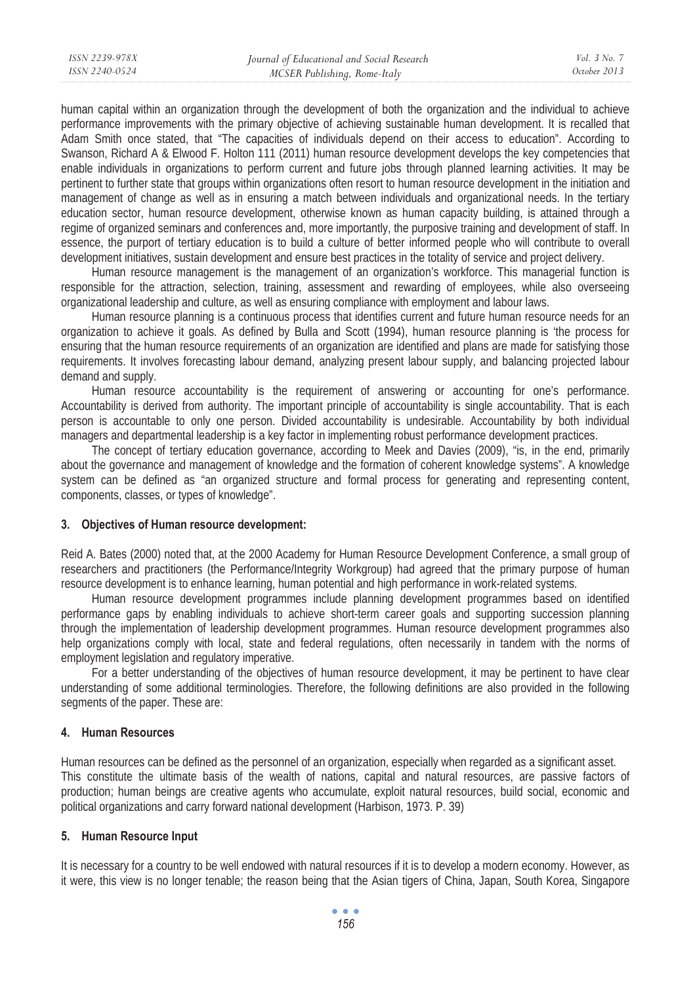human capital within an organization through the development of both the organization and the individual to achieve performance improvements with the primary objective of achieving sustainable human development. It is recalled that Adam Smith once stated, that "The capacities of individuals depend on their access to education". According to Swanson, Richard A & Elwood F. Holton 111 (2011) human resource development develops the key competencies that enable individuals in organizations to perform current and future jobs through planned learning activities. It may be pertinent to further state that groups within organizations often resort to human resource development in the initiation and management of change as well as in ensuring a match between individuals and organizational needs. In the tertiary education sector, human resource development, otherwise known as human capacity building, is attained through a regime of organized seminars and conferences and, more importantly, the purposive training and development of staff. In essence, the purport of tertiary education is to build a culture of better informed people who will contribute to overall development initiatives, sustain development and ensure best practices in the totality of service and project delivery.

Human resource management is the management of an organization's workforce. This managerial function is responsible for the attraction, selection, training, assessment and rewarding of employees, while also overseeing organizational leadership and culture, as well as ensuring compliance with employment and labour laws.

Human resource planning is a continuous process that identifies current and future human resource needs for an organization to achieve it goals. As defined by Bulla and Scott (1994), human resource planning is 'the process for ensuring that the human resource requirements of an organization are identified and plans are made for satisfying those requirements. It involves forecasting labour demand, analyzing present labour supply, and balancing projected labour demand and supply.

Human resource accountability is the requirement of answering or accounting for one's performance. Accountability is derived from authority. The important principle of accountability is single accountability. That is each person is accountable to only one person. Divided accountability is undesirable. Accountability by both individual managers and departmental leadership is a key factor in implementing robust performance development practices.

The concept of tertiary education governance, according to Meek and Davies (2009), "is, in the end, primarily about the governance and management of knowledge and the formation of coherent knowledge systems". A knowledge system can be defined as "an organized structure and formal process for generating and representing content, components, classes, or types of knowledge".

### **3. Objectives of Human resource development:**

Reid A. Bates (2000) noted that, at the 2000 Academy for Human Resource Development Conference, a small group of researchers and practitioners (the Performance/Integrity Workgroup) had agreed that the primary purpose of human resource development is to enhance learning, human potential and high performance in work-related systems.

Human resource development programmes include planning development programmes based on identified performance gaps by enabling individuals to achieve short-term career goals and supporting succession planning through the implementation of leadership development programmes. Human resource development programmes also help organizations comply with local, state and federal regulations, often necessarily in tandem with the norms of employment legislation and regulatory imperative.

For a better understanding of the objectives of human resource development, it may be pertinent to have clear understanding of some additional terminologies. Therefore, the following definitions are also provided in the following segments of the paper. These are:

### **4. Human Resources**

Human resources can be defined as the personnel of an organization, especially when regarded as a significant asset. This constitute the ultimate basis of the wealth of nations, capital and natural resources, are passive factors of production; human beings are creative agents who accumulate, exploit natural resources, build social, economic and political organizations and carry forward national development (Harbison, 1973. P. 39)

### **5. Human Resource Input**

It is necessary for a country to be well endowed with natural resources if it is to develop a modern economy. However, as it were, this view is no longer tenable; the reason being that the Asian tigers of China, Japan, South Korea, Singapore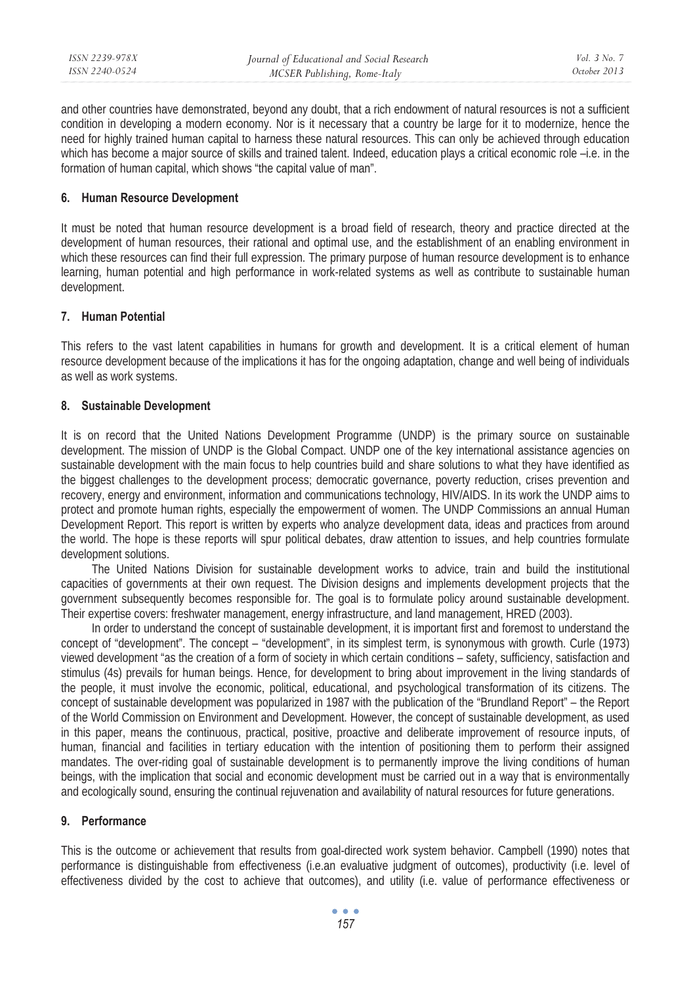and other countries have demonstrated, beyond any doubt, that a rich endowment of natural resources is not a sufficient condition in developing a modern economy. Nor is it necessary that a country be large for it to modernize, hence the need for highly trained human capital to harness these natural resources. This can only be achieved through education which has become a major source of skills and trained talent. Indeed, education plays a critical economic role –i.e. in the formation of human capital, which shows "the capital value of man".

### **6. Human Resource Development**

It must be noted that human resource development is a broad field of research, theory and practice directed at the development of human resources, their rational and optimal use, and the establishment of an enabling environment in which these resources can find their full expression. The primary purpose of human resource development is to enhance learning, human potential and high performance in work-related systems as well as contribute to sustainable human development.

## **7. Human Potential**

This refers to the vast latent capabilities in humans for growth and development. It is a critical element of human resource development because of the implications it has for the ongoing adaptation, change and well being of individuals as well as work systems.

### **8. Sustainable Development**

It is on record that the United Nations Development Programme (UNDP) is the primary source on sustainable development. The mission of UNDP is the Global Compact. UNDP one of the key international assistance agencies on sustainable development with the main focus to help countries build and share solutions to what they have identified as the biggest challenges to the development process; democratic governance, poverty reduction, crises prevention and recovery, energy and environment, information and communications technology, HIV/AIDS. In its work the UNDP aims to protect and promote human rights, especially the empowerment of women. The UNDP Commissions an annual Human Development Report. This report is written by experts who analyze development data, ideas and practices from around the world. The hope is these reports will spur political debates, draw attention to issues, and help countries formulate development solutions.

The United Nations Division for sustainable development works to advice, train and build the institutional capacities of governments at their own request. The Division designs and implements development projects that the government subsequently becomes responsible for. The goal is to formulate policy around sustainable development. Their expertise covers: freshwater management, energy infrastructure, and land management, HRED (2003).

In order to understand the concept of sustainable development, it is important first and foremost to understand the concept of "development". The concept – "development", in its simplest term, is synonymous with growth. Curle (1973) viewed development "as the creation of a form of society in which certain conditions – safety, sufficiency, satisfaction and stimulus (4s) prevails for human beings. Hence, for development to bring about improvement in the living standards of the people, it must involve the economic, political, educational, and psychological transformation of its citizens. The concept of sustainable development was popularized in 1987 with the publication of the "Brundland Report" – the Report of the World Commission on Environment and Development. However, the concept of sustainable development, as used in this paper, means the continuous, practical, positive, proactive and deliberate improvement of resource inputs, of human, financial and facilities in tertiary education with the intention of positioning them to perform their assigned mandates. The over-riding goal of sustainable development is to permanently improve the living conditions of human beings, with the implication that social and economic development must be carried out in a way that is environmentally and ecologically sound, ensuring the continual rejuvenation and availability of natural resources for future generations.

## **9. Performance**

This is the outcome or achievement that results from goal-directed work system behavior. Campbell (1990) notes that performance is distinguishable from effectiveness (i.e.an evaluative judgment of outcomes), productivity (i.e. level of effectiveness divided by the cost to achieve that outcomes), and utility (i.e. value of performance effectiveness or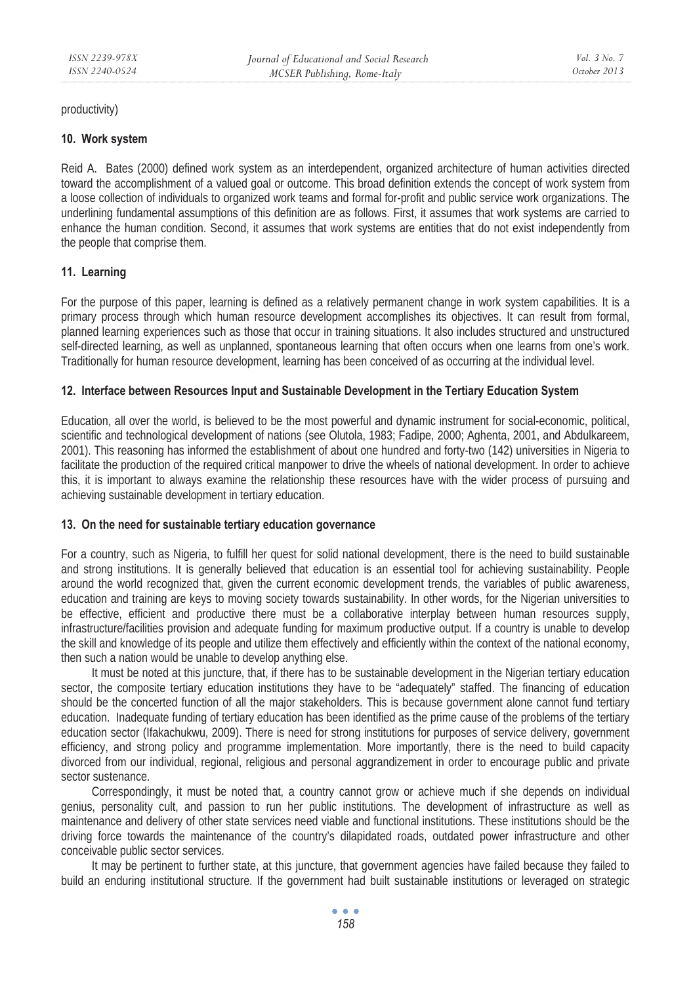productivity)

### **10. Work system**

Reid A. Bates (2000) defined work system as an interdependent, organized architecture of human activities directed toward the accomplishment of a valued goal or outcome. This broad definition extends the concept of work system from a loose collection of individuals to organized work teams and formal for-profit and public service work organizations. The underlining fundamental assumptions of this definition are as follows. First, it assumes that work systems are carried to enhance the human condition. Second, it assumes that work systems are entities that do not exist independently from the people that comprise them.

### **11. Learning**

For the purpose of this paper, learning is defined as a relatively permanent change in work system capabilities. It is a primary process through which human resource development accomplishes its objectives. It can result from formal, planned learning experiences such as those that occur in training situations. It also includes structured and unstructured self-directed learning, as well as unplanned, spontaneous learning that often occurs when one learns from one's work. Traditionally for human resource development, learning has been conceived of as occurring at the individual level.

### **12. Interface between Resources Input and Sustainable Development in the Tertiary Education System**

Education, all over the world, is believed to be the most powerful and dynamic instrument for social-economic, political, scientific and technological development of nations (see Olutola, 1983; Fadipe, 2000; Aghenta, 2001, and Abdulkareem, 2001). This reasoning has informed the establishment of about one hundred and forty-two (142) universities in Nigeria to facilitate the production of the required critical manpower to drive the wheels of national development. In order to achieve this, it is important to always examine the relationship these resources have with the wider process of pursuing and achieving sustainable development in tertiary education.

### **13. On the need for sustainable tertiary education governance**

For a country, such as Nigeria, to fulfill her quest for solid national development, there is the need to build sustainable and strong institutions. It is generally believed that education is an essential tool for achieving sustainability. People around the world recognized that, given the current economic development trends, the variables of public awareness, education and training are keys to moving society towards sustainability. In other words, for the Nigerian universities to be effective, efficient and productive there must be a collaborative interplay between human resources supply, infrastructure/facilities provision and adequate funding for maximum productive output. If a country is unable to develop the skill and knowledge of its people and utilize them effectively and efficiently within the context of the national economy, then such a nation would be unable to develop anything else.

It must be noted at this juncture, that, if there has to be sustainable development in the Nigerian tertiary education sector, the composite tertiary education institutions they have to be "adequately" staffed. The financing of education should be the concerted function of all the major stakeholders. This is because government alone cannot fund tertiary education. Inadequate funding of tertiary education has been identified as the prime cause of the problems of the tertiary education sector (Ifakachukwu, 2009). There is need for strong institutions for purposes of service delivery, government efficiency, and strong policy and programme implementation. More importantly, there is the need to build capacity divorced from our individual, regional, religious and personal aggrandizement in order to encourage public and private sector sustenance.

Correspondingly, it must be noted that, a country cannot grow or achieve much if she depends on individual genius, personality cult, and passion to run her public institutions. The development of infrastructure as well as maintenance and delivery of other state services need viable and functional institutions. These institutions should be the driving force towards the maintenance of the country's dilapidated roads, outdated power infrastructure and other conceivable public sector services.

It may be pertinent to further state, at this juncture, that government agencies have failed because they failed to build an enduring institutional structure. If the government had built sustainable institutions or leveraged on strategic